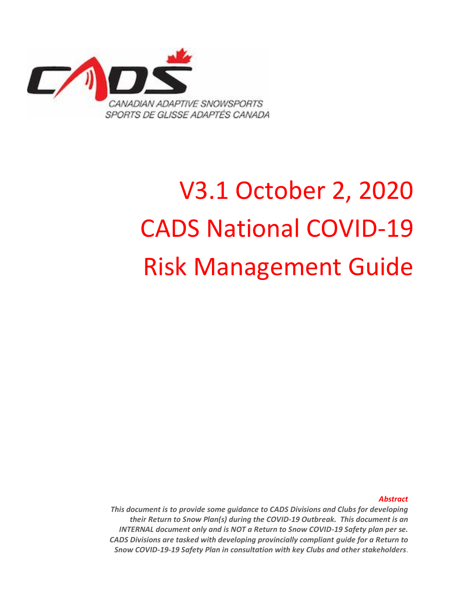

# V3.1 October 2, 2020 CADS National COVID-19 Risk Management Guide

*Abstract*

*This document is to provide some guidance to CADS Divisions and Clubs for developing their Return to Snow Plan(s) during the COVID-19 Outbreak. This document is an INTERNAL document only and is NOT a Return to Snow COVID-19 Safety plan per se. CADS Divisions are tasked with developing provincially compliant guide for a Return to Snow COVID-19-19 Safety Plan in consultation with key Clubs and other stakeholders*.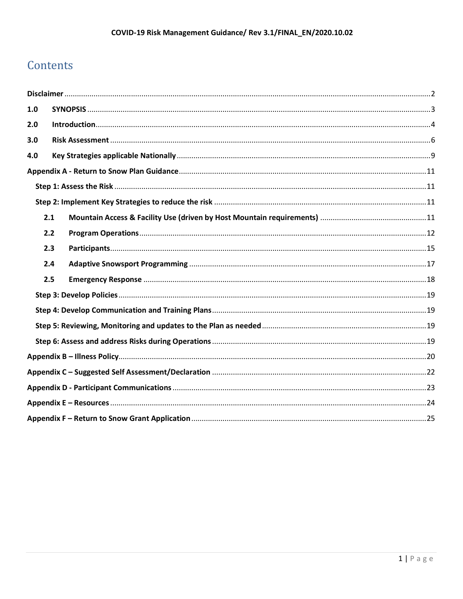# Contents

| 1.0 |     |  |
|-----|-----|--|
| 2.0 |     |  |
| 3.0 |     |  |
| 4.0 |     |  |
|     |     |  |
|     |     |  |
|     |     |  |
|     | 2.1 |  |
|     | 2.2 |  |
|     | 2.3 |  |
|     | 2.4 |  |
|     | 2.5 |  |
|     |     |  |
|     |     |  |
|     |     |  |
|     |     |  |
|     |     |  |
|     |     |  |
|     |     |  |
|     |     |  |
|     |     |  |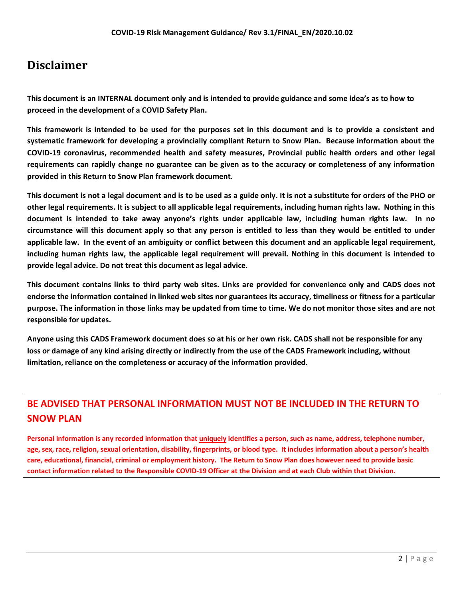## <span id="page-2-0"></span>**Disclaimer**

**This document is an INTERNAL document only and is intended to provide guidance and some idea's as to how to proceed in the development of a COVID Safety Plan.**

**This framework is intended to be used for the purposes set in this document and is to provide a consistent and systematic framework for developing a provincially compliant Return to Snow Plan. Because information about the COVID-19 coronavirus, recommended health and safety measures, Provincial public health orders and other legal requirements can rapidly change no guarantee can be given as to the accuracy or completeness of any information provided in this Return to Snow Plan framework document.** 

**This document is not a legal document and is to be used as a guide only. It is not a substitute for orders of the PHO or other legal requirements. It is subject to all applicable legal requirements, including human rights law. Nothing in this document is intended to take away anyone's rights under applicable law, including human rights law. In no circumstance will this document apply so that any person is entitled to less than they would be entitled to under applicable law. In the event of an ambiguity or conflict between this document and an applicable legal requirement, including human rights law, the applicable legal requirement will prevail. Nothing in this document is intended to provide legal advice. Do not treat this document as legal advice.**

**This document contains links to third party web sites. Links are provided for convenience only and CADS does not endorse the information contained in linked web sites nor guarantees its accuracy, timeliness or fitness for a particular purpose. The information in those links may be updated from time to time. We do not monitor those sites and are not responsible for updates.** 

**Anyone using this CADS Framework document does so at his or her own risk. CADS shall not be responsible for any loss or damage of any kind arising directly or indirectly from the use of the CADS Framework including, without limitation, reliance on the completeness or accuracy of the information provided.** 

## **BE ADVISED THAT PERSONAL INFORMATION MUST NOT BE INCLUDED IN THE RETURN TO SNOW PLAN**

**Personal information is any recorded information that uniquely identifies a person, such as name, address, telephone number, age, sex, race, religion, sexual orientation, disability, fingerprints, or blood type. It includes information about a person's health care, educational, financial, criminal or employment history. The Return to Snow Plan does however need to provide basic contact information related to the Responsible COVID-19 Officer at the Division and at each Club within that Division.**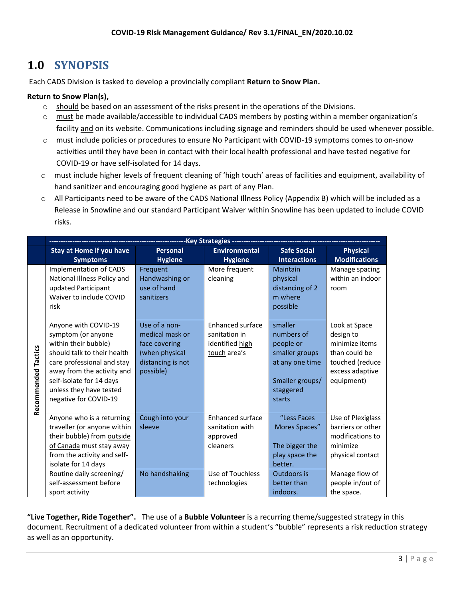# <span id="page-3-0"></span>**1.0 SYNOPSIS**

Each CADS Division is tasked to develop a provincially compliant **Return to Snow Plan.**

#### **Return to Snow Plan(s),**

- $\circ$  should be based on an assessment of the risks present in the operations of the Divisions.
- o must be made available/accessible to individual CADS members by posting within a member organization's facility and on its website. Communications including signage and reminders should be used whenever possible.
- o must include policies or procedures to ensure No Participant with COVID-19 symptoms comes to on-snow activities until they have been in contact with their local health professional and have tested negative for COVID-19 or have self-isolated for 14 days.
- o must include higher levels of frequent cleaning of 'high touch' areas of facilities and equipment, availability of hand sanitizer and encouraging good hygiene as part of any Plan.
- o All Participants need to be aware of the CADS National Illness Policy (Appendix B) which will be included as a Release in Snowline and our standard Participant Waiver within Snowline has been updated to include COVID risks.

|                     | -------------------------------Key Strategies ------                                                                                                                                                                                          |                                                                                                       |                                                                      |                                                                                                                   |                                                                                                                   |  |  |
|---------------------|-----------------------------------------------------------------------------------------------------------------------------------------------------------------------------------------------------------------------------------------------|-------------------------------------------------------------------------------------------------------|----------------------------------------------------------------------|-------------------------------------------------------------------------------------------------------------------|-------------------------------------------------------------------------------------------------------------------|--|--|
|                     | <b>Stay at Home if you have</b><br><b>Symptoms</b>                                                                                                                                                                                            | <b>Personal</b><br><b>Hygiene</b>                                                                     | <b>Environmental</b><br><b>Hygiene</b>                               | <b>Safe Social</b><br><b>Interactions</b>                                                                         | <b>Physical</b><br><b>Modifications</b>                                                                           |  |  |
|                     | <b>Implementation of CADS</b><br>National Illness Policy and<br>updated Participant<br>Waiver to include COVID<br>risk                                                                                                                        | Frequent<br>Handwashing or<br>use of hand<br>sanitizers                                               | More frequent<br>cleaning                                            | Maintain<br>physical<br>distancing of 2<br>m where<br>possible                                                    | Manage spacing<br>within an indoor<br>room                                                                        |  |  |
| Recommended Tactics | Anyone with COVID-19<br>symptom (or anyone<br>within their bubble)<br>should talk to their health<br>care professional and stay<br>away from the activity and<br>self-isolate for 14 days<br>unless they have tested<br>negative for COVID-19 | Use of a non-<br>medical mask or<br>face covering<br>(when physical<br>distancing is not<br>possible) | Enhanced surface<br>sanitation in<br>identified high<br>touch area's | smaller<br>numbers of<br>people or<br>smaller groups<br>at any one time<br>Smaller groups/<br>staggered<br>starts | Look at Space<br>design to<br>minimize items<br>than could be<br>touched (reduce<br>excess adaptive<br>equipment) |  |  |
|                     | Anyone who is a returning<br>traveller (or anyone within<br>their bubble) from outside<br>of Canada must stay away<br>from the activity and self-<br>isolate for 14 days                                                                      | Cough into your<br>sleeve                                                                             | Enhanced surface<br>sanitation with<br>approved<br>cleaners          | "Less Faces<br>Mores Spaces"<br>The bigger the<br>play space the<br>better.                                       | Use of Plexiglass<br>barriers or other<br>modifications to<br>minimize<br>physical contact                        |  |  |
|                     | Routine daily screening/<br>self-assessment before<br>sport activity                                                                                                                                                                          | No handshaking                                                                                        | Use of Touchless<br>technologies                                     | Outdoors is<br>better than<br>indoors.                                                                            | Manage flow of<br>people in/out of<br>the space.                                                                  |  |  |

**"Live Together, Ride Together".** The use of a **Bubble Volunteer** is a recurring theme/suggested strategy in this document. Recruitment of a dedicated volunteer from within a student's "bubble" represents a risk reduction strategy as well as an opportunity.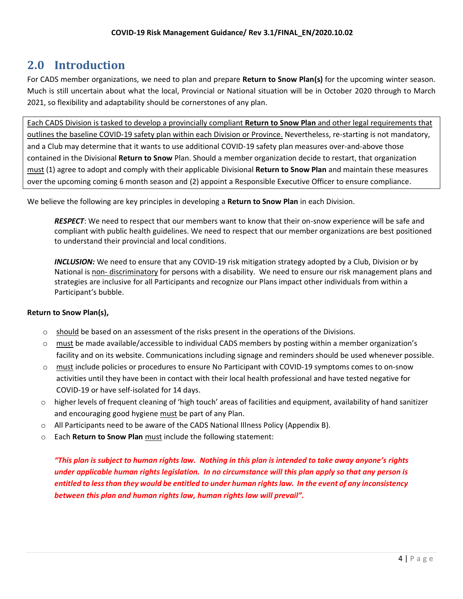## <span id="page-4-0"></span>**2.0 Introduction**

For CADS member organizations, we need to plan and prepare **Return to Snow Plan(s)** for the upcoming winter season. Much is still uncertain about what the local, Provincial or National situation will be in October 2020 through to March 2021, so flexibility and adaptability should be cornerstones of any plan.

Each CADS Division is tasked to develop a provincially compliant **Return to Snow Plan** and other legal requirements that outlines the baseline COVID-19 safety plan within each Division or Province. Nevertheless, re-starting is not mandatory, and a Club may determine that it wants to use additional COVID-19 safety plan measures over-and-above those contained in the Divisional **Return to Snow** Plan. Should a member organization decide to restart, that organization must (1) agree to adopt and comply with their applicable Divisional **Return to Snow Plan** and maintain these measures over the upcoming coming 6 month season and (2) appoint a Responsible Executive Officer to ensure compliance.

We believe the following are key principles in developing a **Return to Snow Plan** in each Division.

*RESPECT*: We need to respect that our members want to know that their on-snow experience will be safe and compliant with public health guidelines. We need to respect that our member organizations are best positioned to understand their provincial and local conditions.

*INCLUSION:* We need to ensure that any COVID-19 risk mitigation strategy adopted by a Club, Division or by National is non- discriminatory for persons with a disability. We need to ensure our risk management plans and strategies are inclusive for all Participants and recognize our Plans impact other individuals from within a Participant's bubble.

#### **Return to Snow Plan(s),**

- $\circ$  should be based on an assessment of the risks present in the operations of the Divisions.
- o must be made available/accessible to individual CADS members by posting within a member organization's facility and on its website. Communications including signage and reminders should be used whenever possible.
- o must include policies or procedures to ensure No Participant with COVID-19 symptoms comes to on-snow activities until they have been in contact with their local health professional and have tested negative for COVID-19 or have self-isolated for 14 days.
- $\circ$  higher levels of frequent cleaning of 'high touch' areas of facilities and equipment, availability of hand sanitizer and encouraging good hygiene must be part of any Plan.
- $\circ$  All Participants need to be aware of the CADS National Illness Policy (Appendix B).
- o Each **Return to Snow Plan** must include the following statement:

*"This plan is subject to human rights law. Nothing in this plan is intended to take away anyone's rights under applicable human rights legislation. In no circumstance will this plan apply so that any person is entitled to less than they would be entitled to under human rights law. In the event of any inconsistency between this plan and human rights law, human rights law will prevail".*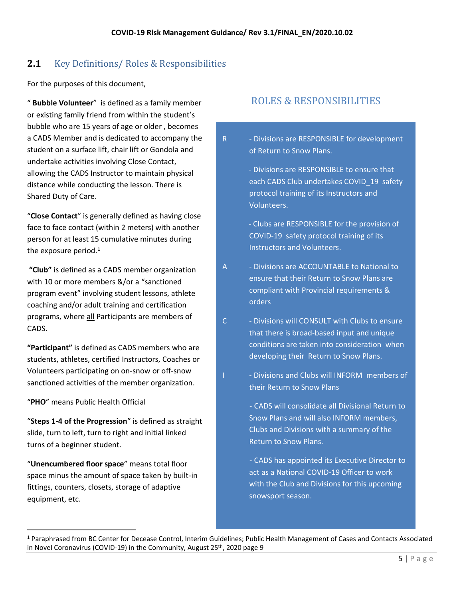## **2.1** Key Definitions/ Roles & Responsibilities

For the purposes of this document,

" **Bubble Volunteer**" is defined as a family member or existing family friend from within the student's bubble who are 15 years of age or older , becomes a CADS Member and is dedicated to accompany the student on a surface lift, chair lift or Gondola and undertake activities involving Close Contact, allowing the CADS Instructor to maintain physical distance while conducting the lesson. There is Shared Duty of Care.

"**Close Contact**" is generally defined as having close face to face contact (within 2 meters) with another person for at least 15 cumulative minutes during the exposure period. $1$ 

**"Club"** is defined as a CADS member organization with 10 or more members &/or a "sanctioned program event" involving student lessons, athlete coaching and/or adult training and certification programs, where all Participants are members of CADS.

**"Participant"** is defined as CADS members who are students, athletes, certified Instructors, Coaches or Volunteers participating on on-snow or off-snow sanctioned activities of the member organization.

"**PHO**" means Public Health Official

"**Steps 1-4 of the Progression**" is defined as straight slide, turn to left, turn to right and initial linked turns of a beginner student.

"**Unencumbered floor space**" means total floor space minus the amount of space taken by built-in fittings, counters, closets, storage of adaptive equipment, etc.

## ROLES & RESPONSIBILITIES

R - Divisions are RESPONSIBLE for development of Return to Snow Plans.

> - Divisions are RESPONSIBLE to ensure that each CADS Club undertakes COVID 19 safety protocol training of its Instructors and Volunteers.

 - Clubs are RESPONSIBLE for the provision of COVID-19 safety protocol training of its Instructors and Volunteers.

- A Divisions are ACCOUNTABLE to National to ensure that their Return to Snow Plans are compliant with Provincial requirements & orders
- C Divisions will CONSULT with Clubs to ensure that there is broad-based input and unique conditions are taken into consideration when developing their Return to Snow Plans.
- I Divisions and Clubs will INFORM members of their Return to Snow Plans
	- CADS will consolidate all Divisional Return to Snow Plans and will also INFORM members, Clubs and Divisions with a summary of the Return to Snow Plans.

- CADS has appointed its Executive Director to act as a National COVID-19 Officer to work with the Club and Divisions for this upcoming snowsport season.

<sup>1</sup> Paraphrased from BC Center for Decease Control, Interim Guidelines; Public Health Management of Cases and Contacts Associated in Novel Coronavirus (COVID-19) in the Community, August 25<sup>th</sup>, 2020 page 9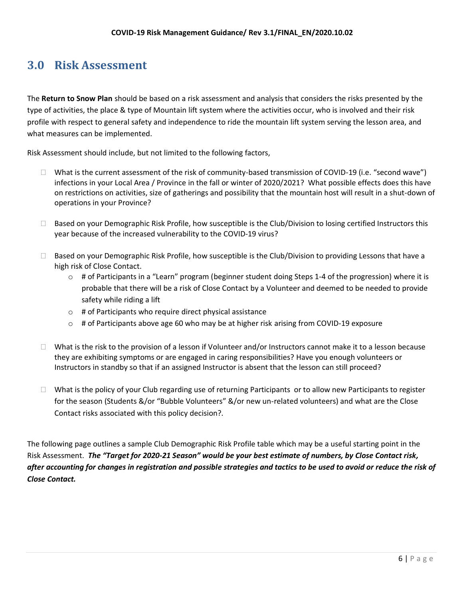# <span id="page-6-0"></span>**3.0 Risk Assessment**

The **Return to Snow Plan** should be based on a risk assessment and analysis that considers the risks presented by the type of activities, the place & type of Mountain lift system where the activities occur, who is involved and their risk profile with respect to general safety and independence to ride the mountain lift system serving the lesson area, and what measures can be implemented.

Risk Assessment should include, but not limited to the following factors,

- $\Box$  What is the current assessment of the risk of community-based transmission of COVID-19 (i.e. "second wave") infections in your Local Area / Province in the fall or winter of 2020/2021? What possible effects does this have on restrictions on activities, size of gatherings and possibility that the mountain host will result in a shut-down of operations in your Province?
- □ Based on your Demographic Risk Profile, how susceptible is the Club/Division to losing certified Instructors this year because of the increased vulnerability to the COVID-19 virus?
- $\Box$  Based on your Demographic Risk Profile, how susceptible is the Club/Division to providing Lessons that have a high risk of Close Contact.
	- $\circ$  # of Participants in a "Learn" program (beginner student doing Steps 1-4 of the progression) where it is probable that there will be a risk of Close Contact by a Volunteer and deemed to be needed to provide safety while riding a lift
	- $\circ$  # of Participants who require direct physical assistance
	- $\circ$  # of Participants above age 60 who may be at higher risk arising from COVID-19 exposure
- $\Box$  What is the risk to the provision of a lesson if Volunteer and/or Instructors cannot make it to a lesson because they are exhibiting symptoms or are engaged in caring responsibilities? Have you enough volunteers or Instructors in standby so that if an assigned Instructor is absent that the lesson can still proceed?
- $\Box$  What is the policy of your Club regarding use of returning Participants or to allow new Participants to register for the season (Students &/or "Bubble Volunteers" &/or new un-related volunteers) and what are the Close Contact risks associated with this policy decision?.

The following page outlines a sample Club Demographic Risk Profile table which may be a useful starting point in the Risk Assessment. *The "Target for 2020-21 Season" would be your best estimate of numbers, by Close Contact risk, after accounting for changes in registration and possible strategies and tactics to be used to avoid or reduce the risk of Close Contact.*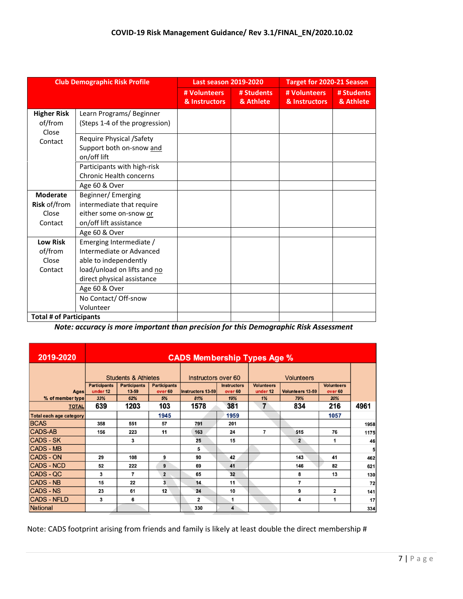| <b>Club Demographic Risk Profile</b>   |                                                                     | <b>Last season 2019-2020</b>  |                         | <b>Target for 2020-21 Season</b> |                         |  |
|----------------------------------------|---------------------------------------------------------------------|-------------------------------|-------------------------|----------------------------------|-------------------------|--|
|                                        |                                                                     | # Volunteers<br>& Instructors | # Students<br>& Athlete | # Volunteers<br>& Instructors    | # Students<br>& Athlete |  |
| <b>Higher Risk</b><br>of/from<br>Close | Learn Programs/Beginner<br>(Steps 1-4 of the progression)           |                               |                         |                                  |                         |  |
| Contact                                | Require Physical /Safety<br>Support both on-snow and<br>on/off lift |                               |                         |                                  |                         |  |
|                                        | Participants with high-risk<br>Chronic Health concerns              |                               |                         |                                  |                         |  |
|                                        | Age 60 & Over                                                       |                               |                         |                                  |                         |  |
| <b>Moderate</b>                        | Beginner/Emerging                                                   |                               |                         |                                  |                         |  |
| <b>Risk of/from</b>                    | intermediate that require                                           |                               |                         |                                  |                         |  |
| Close                                  | either some on-snow or                                              |                               |                         |                                  |                         |  |
| Contact                                | on/off lift assistance                                              |                               |                         |                                  |                         |  |
|                                        | Age 60 & Over                                                       |                               |                         |                                  |                         |  |
| <b>Low Risk</b>                        | Emerging Intermediate /                                             |                               |                         |                                  |                         |  |
| of/from                                | Intermediate or Advanced                                            |                               |                         |                                  |                         |  |
| Close                                  | able to independently                                               |                               |                         |                                  |                         |  |
| Contact                                | load/unload on lifts and no                                         |                               |                         |                                  |                         |  |
|                                        | direct physical assistance                                          |                               |                         |                                  |                         |  |
|                                        | Age 60 & Over                                                       |                               |                         |                                  |                         |  |
|                                        | No Contact/ Off-snow                                                |                               |                         |                                  |                         |  |
|                                        | Volunteer                                                           |                               |                         |                                  |                         |  |
| <b>Total # of Participants</b>         |                                                                     |                               |                         |                                  |                         |  |

*Note: accuracy is more important than precision for this Demographic Risk Assessment*

| 2019-2020                      | <b>CADS Membership Types Age %</b> |                              |                                |                   |                                          |                               |                         |                              |                |
|--------------------------------|------------------------------------|------------------------------|--------------------------------|-------------------|------------------------------------------|-------------------------------|-------------------------|------------------------------|----------------|
|                                | <b>Students &amp; Athletes</b>     |                              | Instructors over 60            |                   | <b>Volunteers</b>                        |                               |                         |                              |                |
| <b>Ages</b>                    | <b>Participants</b><br>under 12    | <b>Participants</b><br>13-59 | <b>Participants</b><br>over 60 | Instructors 13-59 | <b>Instructors</b><br>over <sub>60</sub> | <b>Volunteers</b><br>under 12 | <b>Volunteers 13-59</b> | <b>Volunteers</b><br>over 60 |                |
| % of member type               | 33%                                | 62%                          | 5%                             | 81%               | 19%                                      | 1%                            | 79%                     | 20%                          |                |
| <b>TOTAL</b>                   | 639                                | 1203                         | 103                            | 1578              | 381                                      | $\overline{7}$                | 834                     | 216                          | 4961           |
| <b>Total each age category</b> |                                    |                              | 1945                           |                   | 1959                                     |                               |                         | 1057                         |                |
| <b>BCAS</b>                    | 358                                | 551                          | 57                             | 791               | 201                                      |                               |                         |                              | 1958           |
| <b>CADS-AB</b>                 | 156                                | 223                          | 11                             | 163               | 24                                       | 7                             | 515                     | 76                           | 1175           |
| <b>CADS - SK</b>               |                                    | 3                            |                                | 25                | 15                                       |                               | $\overline{2}$          | 1                            | 46             |
| <b>CADS - MB</b>               |                                    |                              |                                | 5                 |                                          |                               |                         |                              | 5 <sup>1</sup> |
| <b>CADS - ON</b>               | 29                                 | 108                          | 9                              | 90                | 42                                       |                               | 143                     | 41                           | 462            |
| <b>CADS - NCD</b>              | 52                                 | 222                          | 9                              | 69                | 41                                       |                               | 146                     | 82                           | 621            |
| CADS - QC                      | 3                                  | $\overline{7}$               | $\overline{2}$                 | 65                | 32                                       |                               | 8                       | 13                           | 130            |
| <b>CADS - NB</b>               | 15                                 | 22                           | 3                              | 14                | 11                                       |                               | 7                       |                              | 72             |
| <b>CADS - NS</b>               | 23                                 | 61                           | 12                             | 24                | 10                                       |                               | 9                       | 2                            | 141            |
| <b>CADS - NFLD</b>             | 3                                  | 6                            |                                | 2                 | 1                                        |                               | 4                       | 1                            | 17             |
| National                       |                                    |                              |                                | 330               | 4                                        |                               |                         |                              | 334            |

Note: CADS footprint arising from friends and family is likely at least double the direct membership #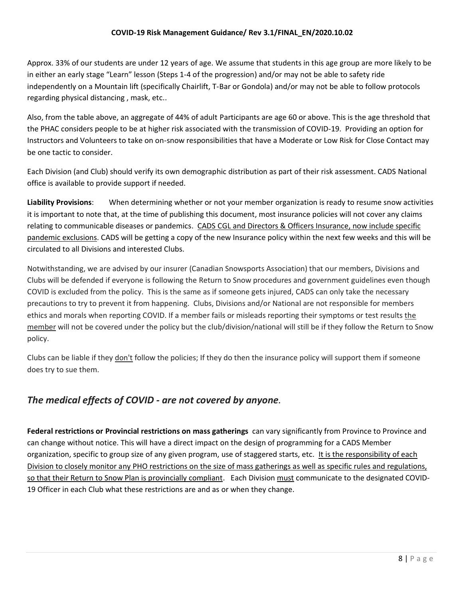#### **COVID-19 Risk Management Guidance/ Rev 3.1/FINAL\_EN/2020.10.02**

Approx. 33% of our students are under 12 years of age. We assume that students in this age group are more likely to be in either an early stage "Learn" lesson (Steps 1-4 of the progression) and/or may not be able to safety ride independently on a Mountain lift (specifically Chairlift, T-Bar or Gondola) and/or may not be able to follow protocols regarding physical distancing , mask, etc..

Also, from the table above, an aggregate of 44% of adult Participants are age 60 or above. This is the age threshold that the PHAC considers people to be at higher risk associated with the transmission of COVID-19. Providing an option for Instructors and Volunteers to take on on-snow responsibilities that have a Moderate or Low Risk for Close Contact may be one tactic to consider.

Each Division (and Club) should verify its own demographic distribution as part of their risk assessment. CADS National office is available to provide support if needed.

**Liability Provisions**: When determining whether or not your member organization is ready to resume snow activities it is important to note that, at the time of publishing this document, most insurance policies will not cover any claims relating to communicable diseases or pandemics. CADS CGL and Directors & Officers Insurance, now include specific pandemic exclusions. CADS will be getting a copy of the new Insurance policy within the next few weeks and this will be circulated to all Divisions and interested Clubs.

Notwithstanding, we are advised by our insurer (Canadian Snowsports Association) that our members, Divisions and Clubs will be defended if everyone is following the Return to Snow procedures and government guidelines even though COVID is excluded from the policy. This is the same as if someone gets injured, CADS can only take the necessary precautions to try to prevent it from happening. Clubs, Divisions and/or National are not responsible for members ethics and morals when reporting COVID. If a member fails or misleads reporting their symptoms or test results the member will not be covered under the policy but the club/division/national will still be if they follow the Return to Snow policy.

Clubs can be liable if they don't follow the policies; If they do then the insurance policy will support them if someone does try to sue them.

## *The medical effects of COVID - are not covered by anyone.*

**Federal restrictions or Provincial restrictions on mass gatherings** can vary significantly from Province to Province and can change without notice. This will have a direct impact on the design of programming for a CADS Member organization, specific to group size of any given program, use of staggered starts, etc. It is the responsibility of each Division to closely monitor any PHO restrictions on the size of mass gatherings as well as specific rules and regulations, so that their Return to Snow Plan is provincially compliant. Each Division must communicate to the designated COVID-19 Officer in each Club what these restrictions are and as or when they change.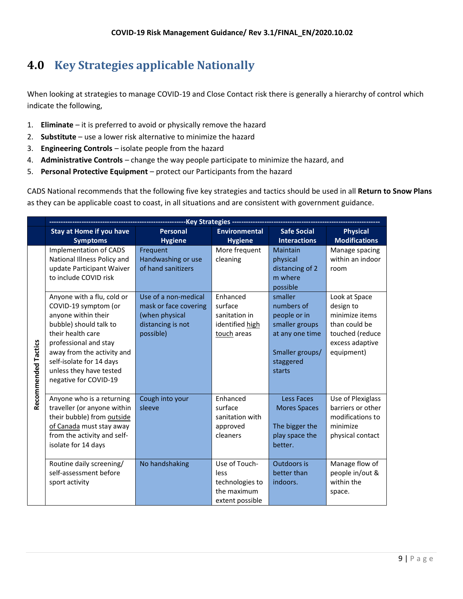# <span id="page-9-0"></span>**4.0 Key Strategies applicable Nationally**

When looking at strategies to manage COVID-19 and Close Contact risk there is generally a hierarchy of control which indicate the following,

- 1. **Eliminate** it is preferred to avoid or physically remove the hazard
- 2. **Substitute**  use a lower risk alternative to minimize the hazard
- 3. **Engineering Controls** isolate people from the hazard
- 4. **Administrative Controls** change the way people participate to minimize the hazard, and
- 5. **Personal Protective Equipment** protect our Participants from the hazard

CADS National recommends that the following five key strategies and tactics should be used in all **Return to Snow Plans**  as they can be applicable coast to coast, in all situations and are consistent with government guidance.

|                            | ------------------Key Strategies -------                                                                                                                                                                                                                                                                                                                                              |                                                                                                                                                           |                                                                                                                           |                                                                                                                                                                                        |                                                                                                                                                                 |  |
|----------------------------|---------------------------------------------------------------------------------------------------------------------------------------------------------------------------------------------------------------------------------------------------------------------------------------------------------------------------------------------------------------------------------------|-----------------------------------------------------------------------------------------------------------------------------------------------------------|---------------------------------------------------------------------------------------------------------------------------|----------------------------------------------------------------------------------------------------------------------------------------------------------------------------------------|-----------------------------------------------------------------------------------------------------------------------------------------------------------------|--|
|                            | Stay at Home if you have                                                                                                                                                                                                                                                                                                                                                              | <b>Personal</b>                                                                                                                                           | <b>Environmental</b>                                                                                                      | <b>Safe Social</b>                                                                                                                                                                     | <b>Physical</b>                                                                                                                                                 |  |
|                            | <b>Symptoms</b>                                                                                                                                                                                                                                                                                                                                                                       | <b>Hygiene</b>                                                                                                                                            | <b>Hygiene</b>                                                                                                            | <b>Interactions</b>                                                                                                                                                                    | <b>Modifications</b>                                                                                                                                            |  |
| <b>Recommended Tactics</b> | <b>Implementation of CADS</b><br>National Illness Policy and<br>update Participant Waiver<br>to include COVID risk<br>Anyone with a flu, cold or<br>COVID-19 symptom (or<br>anyone within their<br>bubble) should talk to<br>their health care<br>professional and stay<br>away from the activity and<br>self-isolate for 14 days<br>unless they have tested<br>negative for COVID-19 | Frequent<br>Handwashing or use<br>of hand sanitizers<br>Use of a non-medical<br>mask or face covering<br>(when physical<br>distancing is not<br>possible) | More frequent<br>cleaning<br>Enhanced<br>surface<br>sanitation in<br>identified high<br>touch areas                       | Maintain<br>physical<br>distancing of 2<br>m where<br>possible<br>smaller<br>numbers of<br>people or in<br>smaller groups<br>at any one time<br>Smaller groups/<br>staggered<br>starts | Manage spacing<br>within an indoor<br>room<br>Look at Space<br>design to<br>minimize items<br>than could be<br>touched (reduce<br>excess adaptive<br>equipment) |  |
|                            | Anyone who is a returning<br>traveller (or anyone within<br>their bubble) from outside<br>of Canada must stay away<br>from the activity and self-<br>isolate for 14 days<br>Routine daily screening/<br>self-assessment before<br>sport activity                                                                                                                                      | Cough into your<br>sleeve<br>No handshaking                                                                                                               | Enhanced<br>surface<br>sanitation with<br>approved<br>cleaners<br>Use of Touch-<br>less<br>technologies to<br>the maximum | <b>Less Faces</b><br><b>Mores Spaces</b><br>The bigger the<br>play space the<br>better.<br>Outdoors is<br>better than<br>indoors.                                                      | Use of Plexiglass<br>barriers or other<br>modifications to<br>minimize<br>physical contact<br>Manage flow of<br>people in/out &<br>within the<br>space.         |  |
|                            |                                                                                                                                                                                                                                                                                                                                                                                       |                                                                                                                                                           | extent possible                                                                                                           |                                                                                                                                                                                        |                                                                                                                                                                 |  |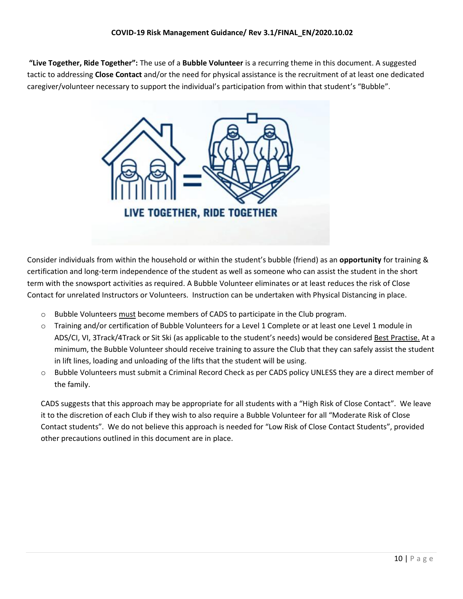**"Live Together, Ride Together":** The use of a **Bubble Volunteer** is a recurring theme in this document. A suggested tactic to addressing **Close Contact** and/or the need for physical assistance is the recruitment of at least one dedicated caregiver/volunteer necessary to support the individual's participation from within that student's "Bubble".



Consider individuals from within the household or within the student's bubble (friend) as an **opportunity** for training & certification and long-term independence of the student as well as someone who can assist the student in the short term with the snowsport activities as required. A Bubble Volunteer eliminates or at least reduces the risk of Close Contact for unrelated Instructors or Volunteers. Instruction can be undertaken with Physical Distancing in place.

- o Bubble Volunteers must become members of CADS to participate in the Club program.
- o Training and/or certification of Bubble Volunteers for a Level 1 Complete or at least one Level 1 module in ADS/CI, VI, 3Track/4Track or Sit Ski (as applicable to the student's needs) would be considered Best Practise. At a minimum, the Bubble Volunteer should receive training to assure the Club that they can safely assist the student in lift lines, loading and unloading of the lifts that the student will be using.
- o Bubble Volunteers must submit a Criminal Record Check as per CADS policy UNLESS they are a direct member of the family.

CADS suggests that this approach may be appropriate for all students with a "High Risk of Close Contact". We leave it to the discretion of each Club if they wish to also require a Bubble Volunteer for all "Moderate Risk of Close Contact students". We do not believe this approach is needed for "Low Risk of Close Contact Students", provided other precautions outlined in this document are in place.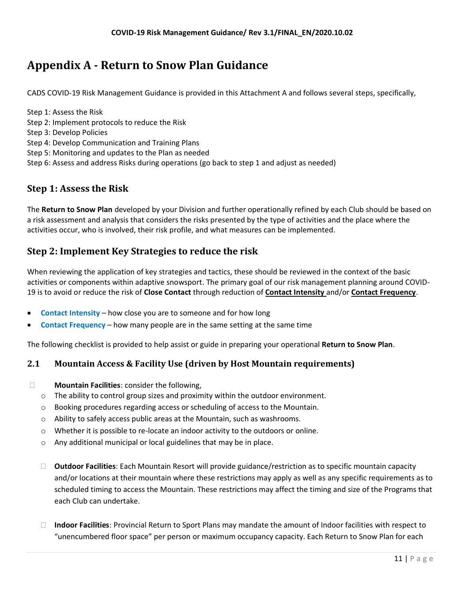# <span id="page-11-0"></span>**Appendix A - Return to Snow Plan Guidance**

CADS COVID-19 Risk Management Guidance is provided in this Attachment A and follows several steps, specifically,

Step 1: Assess the Risk Step 2: Implement protocols to reduce the Risk Step 3: Develop Policies Step 4: Develop Communication and Training Plans Step 5: Monitoring and updates to the Plan as needed Step 6: Assess and address Risks during operations (go back to step 1 and adjust as needed)

## <span id="page-11-1"></span>**Step 1: Assess the Risk**

The **Return to Snow Plan** developed by your Division and further operationally refined by each Club should be based on a risk assessment and analysis that considers the risks presented by the type of activities and the place where the activities occur, who is involved, their risk profile, and what measures can be implemented.

## <span id="page-11-2"></span>**Step 2: Implement Key Strategies to reduce the risk**

When reviewing the application of key strategies and tactics, these should be reviewed in the context of the basic activities or components within adaptive snowsport. The primary goal of our risk management planning around COVID-19 is to avoid or reduce the risk of **Close Contact** through reduction of **Contact Intensity** and/or **Contact Frequency**.

- **Contact Intensity** how close you are to someone and for how long
- **Contact Frequency** how many people are in the same setting at the same time

The following checklist is provided to help assist or guide in preparing your operational **Return to Snow Plan**.

#### <span id="page-11-3"></span>**2.1 Mountain Access & Facility Use (driven by Host Mountain requirements)**

- **Mountain Facilities**: consider the following,
	- $\circ$  The ability to control group sizes and proximity within the outdoor environment.
	- o Booking procedures regarding access or scheduling of access to the Mountain.
	- $\circ$  Ability to safely access public areas at the Mountain, such as washrooms.
	- $\circ$  Whether it is possible to re-locate an indoor activity to the outdoors or online.
	- o Any additional municipal or local guidelines that may be in place.
	- **Outdoor Facilities**: Each Mountain Resort will provide guidance/restriction as to specific mountain capacity and/or locations at their mountain where these restrictions may apply as well as any specific requirements as to scheduled timing to access the Mountain. These restrictions may affect the timing and size of the Programs that each Club can undertake.
	- **Indoor Facilities**: Provincial Return to Sport Plans may mandate the amount of Indoor facilities with respect to "unencumbered floor space" per person or maximum occupancy capacity. Each Return to Snow Plan for each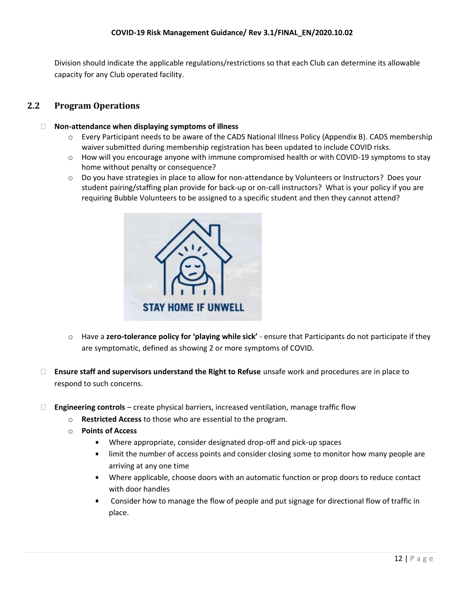Division should indicate the applicable regulations/restrictions so that each Club can determine its allowable capacity for any Club operated facility.

#### <span id="page-12-0"></span>**2.2 Program Operations**

#### **Non-attendance when displaying symptoms of illness**

- o Every Participant needs to be aware of the CADS National Illness Policy (Appendix B). CADS membership waiver submitted during membership registration has been updated to include COVID risks.
- $\circ$  How will you encourage anyone with immune compromised health or with COVID-19 symptoms to stay home without penalty or consequence?
- $\circ$  Do you have strategies in place to allow for non-attendance by Volunteers or Instructors? Does your student pairing/staffing plan provide for back-up or on-call instructors? What is your policy if you are requiring Bubble Volunteers to be assigned to a specific student and then they cannot attend?



- o Have a **zero-tolerance policy for 'playing while sick'** ensure that Participants do not participate if they are symptomatic, defined as showing 2 or more symptoms of COVID.
- **Ensure staff and supervisors understand the Right to Refuse** unsafe work and procedures are in place to respond to such concerns.
- **Engineering controls** create physical barriers, increased ventilation, manage traffic flow
	- o **Restricted Access** to those who are essential to the program.
	- o **Points of Access**
		- $\blacksquare$ Where appropriate, consider designated drop-off and pick-up spaces
		- a. limit the number of access points and consider closing some to monitor how many people are arriving at any one time
		- Where applicable, choose doors with an automatic function or prop doors to reduce contact with door handles
		- $\blacksquare$ Consider how to manage the flow of people and put signage for directional flow of traffic in place.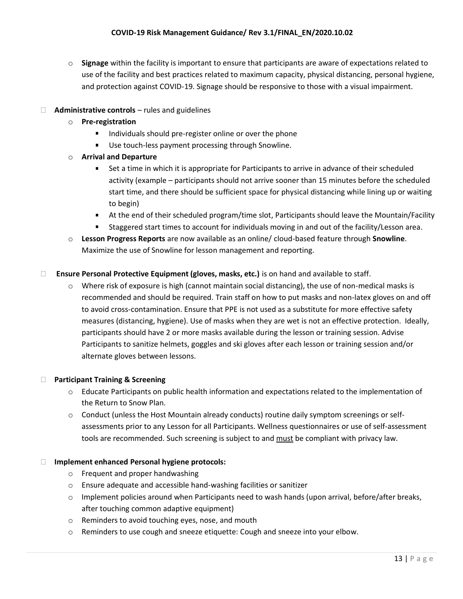o **Signage** within the facility is important to ensure that participants are aware of expectations related to use of the facility and best practices related to maximum capacity, physical distancing, personal hygiene, and protection against COVID-19. Signage should be responsive to those with a visual impairment.

#### **Administrative controls** – rules and guidelines

- o **Pre-registration**
	- $\mathbf{u}$ Individuals should pre-register online or over the phone
	- **Use touch-less payment processing through Snowline.**
- o **Arrival and Departure**
	- Set a time in which it is appropriate for Participants to arrive in advance of their scheduled  $\blacksquare$ activity (example – participants should not arrive sooner than 15 minutes before the scheduled start time, and there should be sufficient space for physical distancing while lining up or waiting to begin)
	- At the end of their scheduled program/time slot, Participants should leave the Mountain/Facility
	- Staggered start times to account for individuals moving in and out of the facility/Lesson area.
- o **Lesson Progress Reports** are now available as an online/ cloud-based feature through **Snowline**. Maximize the use of Snowline for lesson management and reporting.

#### **Ensure Personal Protective Equipment (gloves, masks, etc.)** is on hand and available to staff.

 $\circ$  Where risk of exposure is high (cannot maintain social distancing), the use of non-medical masks is recommended and should be required. Train staff on how to put masks and non-latex gloves on and off to avoid cross-contamination. Ensure that PPE is not used as a substitute for more effective safety measures (distancing, hygiene). Use of masks when they are wet is not an effective protection. Ideally, participants should have 2 or more masks available during the lesson or training session. Advise Participants to sanitize helmets, goggles and ski gloves after each lesson or training session and/or alternate gloves between lessons.

#### **Participant Training & Screening**

- $\circ$  Educate Participants on public health information and expectations related to the implementation of the Return to Snow Plan.
- $\circ$  Conduct (unless the Host Mountain already conducts) routine daily symptom screenings or selfassessments prior to any Lesson for all Participants. Wellness questionnaires or use of self-assessment tools are recommended. Such screening is subject to and must be compliant with privacy law.

#### **Implement enhanced Personal hygiene protocols:**

- o Frequent and proper handwashing
- o Ensure adequate and accessible hand-washing facilities or sanitizer
- $\circ$  Implement policies around when Participants need to wash hands (upon arrival, before/after breaks, after touching common adaptive equipment)
- o Reminders to avoid touching eyes, nose, and mouth
- o Reminders to use cough and sneeze etiquette: Cough and sneeze into your elbow.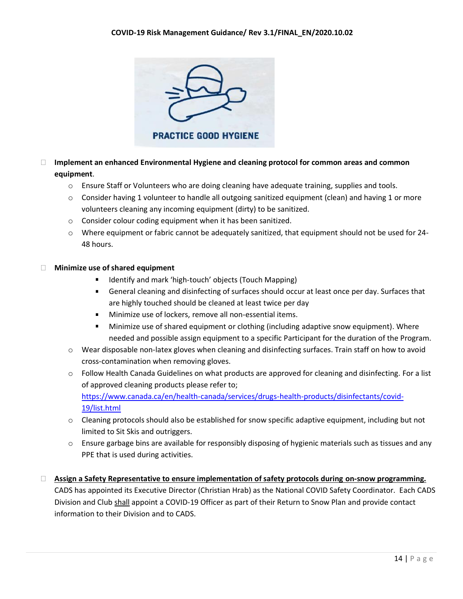

- **Implement an enhanced Environmental Hygiene and cleaning protocol for common areas and common equipment**.
	- o Ensure Staff or Volunteers who are doing cleaning have adequate training, supplies and tools.
	- $\circ$  Consider having 1 volunteer to handle all outgoing sanitized equipment (clean) and having 1 or more volunteers cleaning any incoming equipment (dirty) to be sanitized.
	- o Consider colour coding equipment when it has been sanitized.
	- o Where equipment or fabric cannot be adequately sanitized, that equipment should not be used for 24- 48 hours.

#### **Minimize use of shared equipment**

- Identify and mark 'high-touch' objects (Touch Mapping)
- **EXECT** General cleaning and disinfecting of surfaces should occur at least once per day. Surfaces that are highly touched should be cleaned at least twice per day
- **Minimize use of lockers, remove all non-essential items.**
- $\blacksquare$ Minimize use of shared equipment or clothing (including adaptive snow equipment). Where needed and possible assign equipment to a specific Participant for the duration of the Program.
- o Wear disposable non-latex gloves when cleaning and disinfecting surfaces. Train staff on how to avoid cross-contamination when removing gloves.
- o Follow Health Canada Guidelines on what products are approved for cleaning and disinfecting. For a list of approved cleaning products please refer to[;](https://www.canada.ca/en/health-canada/services/drugs-health-products/disinfectants/covid-19/list.html) [https://www.canada.ca/en/health-canada/services/drugs-health-products/disinfectants/covid-](https://www.canada.ca/en/health-canada/services/drugs-health-products/disinfectants/covid-19/list.html)[19/list.html](https://www.canada.ca/en/health-canada/services/drugs-health-products/disinfectants/covid-19/list.html)
- o Cleaning protocols should also be established for snow specific adaptive equipment, including but not limited to Sit Skis and outriggers.
- $\circ$  Ensure garbage bins are available for responsibly disposing of hygienic materials such as tissues and any PPE that is used during activities.
- **Assign a Safety Representative to ensure implementation of safety protocols during on-snow programming.** CADS has appointed its Executive Director (Christian Hrab) as the National COVID Safety Coordinator. Each CADS Division and Club shall appoint a COVID-19 Officer as part of their Return to Snow Plan and provide contact information to their Division and to CADS.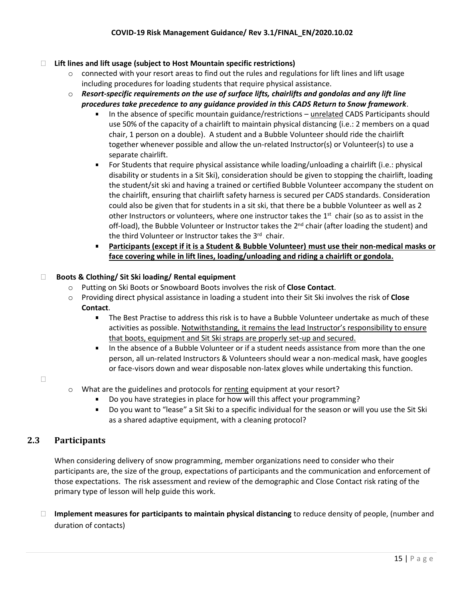#### **Lift lines and lift usage (subject to Host Mountain specific restrictions)**

- $\circ$  connected with your resort areas to find out the rules and regulations for lift lines and lift usage including procedures for loading students that require physical assistance.
- o *Resort-specific requirements on the use of surface lifts, chairlifts and gondolas and any lift line procedures take precedence to any guidance provided in this CADS Return to Snow framework*.
	- In the absence of specific mountain guidance/restrictions unrelated CADS Participants should  $\blacksquare$ use 50% of the capacity of a chairlift to maintain physical distancing (i.e.: 2 members on a quad chair, 1 person on a double). A student and a Bubble Volunteer should ride the chairlift together whenever possible and allow the un-related Instructor(s) or Volunteer(s) to use a separate chairlift.
	- $\blacksquare$ For Students that require physical assistance while loading/unloading a chairlift (i.e.: physical disability or students in a Sit Ski), consideration should be given to stopping the chairlift, loading the student/sit ski and having a trained or certified Bubble Volunteer accompany the student on the chairlift, ensuring that chairlift safety harness is secured per CADS standards. Consideration could also be given that for students in a sit ski, that there be a bubble Volunteer as well as 2 other Instructors or volunteers, where one instructor takes the 1<sup>st</sup> chair (so as to assist in the off-load), the Bubble Volunteer or Instructor takes the  $2<sup>nd</sup>$  chair (after loading the student) and the third Volunteer or Instructor takes the 3<sup>rd</sup> chair.
	- **Participants (except if it is a Student & Bubble Volunteer) must use their non-medical masks or face covering while in lift lines, loading/unloading and riding a chairlift or gondola.**

#### **Boots & Clothing/ Sit Ski loading/ Rental equipment**

- o Putting on Ski Boots or Snowboard Boots involves the risk of **Close Contact**.
- o Providing direct physical assistance in loading a student into their Sit Ski involves the risk of **Close Contact**.
	- $\blacksquare$ The Best Practise to address this risk is to have a Bubble Volunteer undertake as much of these activities as possible. Notwithstanding, it remains the lead Instructor's responsibility to ensure that boots, equipment and Sit Ski straps are properly set-up and secured.
	- $\mathbf{r}$ In the absence of a Bubble Volunteer or if a student needs assistance from more than the one person, all un-related Instructors & Volunteers should wear a non-medical mask, have googles or face-visors down and wear disposable non-latex gloves while undertaking this function.

 $\Box$ 

- o What are the guidelines and protocols for renting equipment at your resort?
	- Do you have strategies in place for how will this affect your programming?
	- Do you want to "lease" a Sit Ski to a specific individual for the season or will you use the Sit Ski as a shared adaptive equipment, with a cleaning protocol?

#### <span id="page-15-0"></span>**2.3 Participants**

When considering delivery of snow programming, member organizations need to consider who their participants are, the size of the group, expectations of participants and the communication and enforcement of those expectations. The risk assessment and review of the demographic and Close Contact risk rating of the primary type of lesson will help guide this work.

 **Implement measures for participants to maintain physical distancing** to reduce density of people, (number and duration of contacts)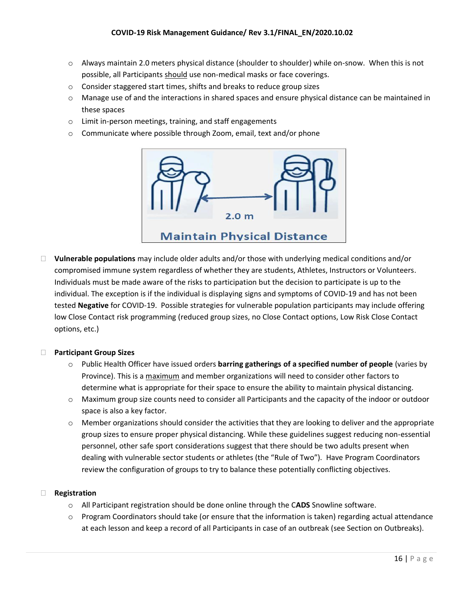- $\circ$  Always maintain 2.0 meters physical distance (shoulder to shoulder) while on-snow. When this is not possible, all Participants should use non-medical masks or face coverings.
- o Consider staggered start times, shifts and breaks to reduce group sizes
- o Manage use of and the interactions in shared spaces and ensure physical distance can be maintained in these spaces
- o Limit in-person meetings, training, and staff engagements
- o Communicate where possible through Zoom, email, text and/or phone



 **Vulnerable populations** may include older adults and/or those with underlying medical conditions and/or compromised immune system regardless of whether they are students, Athletes, Instructors or Volunteers. Individuals must be made aware of the risks to participation but the decision to participate is up to the individual. The exception is if the individual is displaying signs and symptoms of COVID-19 and has not been tested **Negative** for COVID-19. Possible strategies for vulnerable population participants may include offering low Close Contact risk programming (reduced group sizes, no Close Contact options, Low Risk Close Contact options, etc.)

#### **Participant Group Sizes**

- o Public Health Officer have issued orders **barring gatherings of a specified number of people** (varies by Province). This is a maximum and member organizations will need to consider other factors to determine what is appropriate for their space to ensure the ability to maintain physical distancing.
- o Maximum group size counts need to consider all Participants and the capacity of the indoor or outdoor space is also a key factor.
- $\circ$  Member organizations should consider the activities that they are looking to deliver and the appropriate group sizes to ensure proper physical distancing. While these guidelines suggest reducing non-essential personnel, other safe sport considerations suggest that there should be two adults present when dealing with vulnerable sector students or athletes (the "Rule of Two"). Have Program Coordinators review the configuration of groups to try to balance these potentially conflicting objectives.

#### **Registration**

- o All Participant registration should be done online through the C**ADS** Snowline software.
- $\circ$  Program Coordinators should take (or ensure that the information is taken) regarding actual attendance at each lesson and keep a record of all Participants in case of an outbreak (see Section on Outbreaks).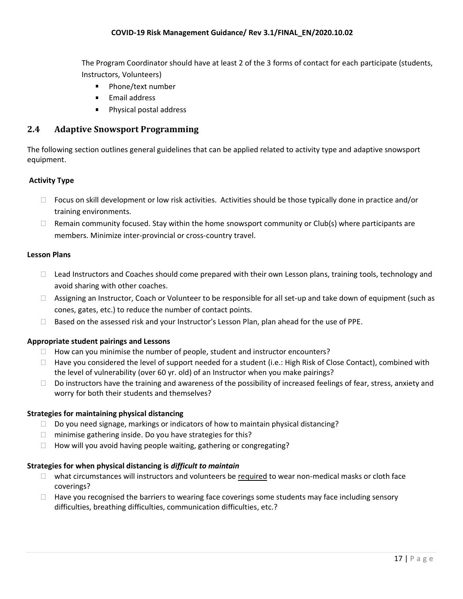The Program Coordinator should have at least 2 of the 3 forms of contact for each participate (students, Instructors, Volunteers)

- a. Phone/text number
- **Email address**
- Physical postal address  $\mathbf{r}$

#### <span id="page-17-0"></span>**2.4 Adaptive Snowsport Programming**

The following section outlines general guidelines that can be applied related to activity type and adaptive snowsport equipment.

#### **Activity Type**

- $\Box$  Focus on skill development or low risk activities. Activities should be those typically done in practice and/or training environments.
- $\Box$  Remain community focused. Stay within the home snowsport community or Club(s) where participants are members. Minimize inter-provincial or cross-country travel.

#### **Lesson Plans**

- □ Lead Instructors and Coaches should come prepared with their own Lesson plans, training tools, technology and avoid sharing with other coaches.
- □ Assigning an Instructor, Coach or Volunteer to be responsible for all set-up and take down of equipment (such as cones, gates, etc.) to reduce the number of contact points.
- $\Box$  Based on the assessed risk and your Instructor's Lesson Plan, plan ahead for the use of PPE.

#### **Appropriate student pairings and Lessons**

- $\Box$  How can you minimise the number of people, student and instructor encounters?
- $\Box$  Have you considered the level of support needed for a student (i.e.: High Risk of Close Contact), combined with the level of vulnerability (over 60 yr. old) of an Instructor when you make pairings?
- $\square$  Do instructors have the training and awareness of the possibility of increased feelings of fear, stress, anxiety and worry for both their students and themselves?

#### **Strategies for maintaining physical distancing**

- $\Box$  Do you need signage, markings or indicators of how to maintain physical distancing?
- $\Box$  minimise gathering inside. Do you have strategies for this?
- $\Box$  How will you avoid having people waiting, gathering or congregating?

#### **Strategies for when physical distancing is** *difficult to maintain*

- $\Box$  what circumstances will instructors and volunteers be required to wear non-medical masks or cloth face coverings?
- $\Box$  Have you recognised the barriers to wearing face coverings some students may face including sensory difficulties, breathing difficulties, communication difficulties, etc.?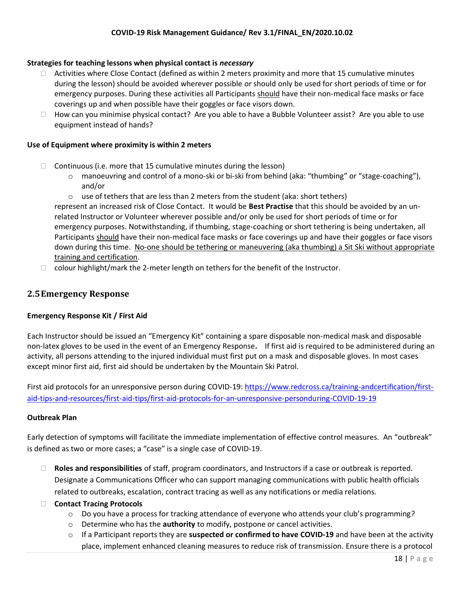#### **Strategies for teaching lessons when physical contact is** *necessary*

- $\Box$  Activities where Close Contact (defined as within 2 meters proximity and more that 15 cumulative minutes during the lesson) should be avoided wherever possible or should only be used for short periods of time or for emergency purposes. During these activities all Participants should have their non-medical face masks or face coverings up and when possible have their goggles or face visors down.
- $\Box$  How can you minimise physical contact? Are you able to have a Bubble Volunteer assist? Are you able to use equipment instead of hands?

#### **Use of Equipment where proximity is within 2 meters**

- $\Box$  Continuous (i.e. more that 15 cumulative minutes during the lesson)
	- $\circ$  manoeuvring and control of a mono-ski or bi-ski from behind (aka: "thumbing" or "stage-coaching"), and/or
	- $\circ$  use of tethers that are less than 2 meters from the student (aka: short tethers)

represent an increased risk of Close Contact. It would be **Best Practise** that this should be avoided by an unrelated Instructor or Volunteer wherever possible and/or only be used for short periods of time or for emergency purposes. Notwithstanding, if thumbing, stage-coaching or short tethering is being undertaken, all Participants should have their non-medical face masks or face coverings up and have their goggles or face visors down during this time. No-one should be tethering or maneuvering (aka thumbing) a Sit Ski without appropriate training and certification.

 $\Box$  colour highlight/mark the 2-meter length on tethers for the benefit of the Instructor.

#### <span id="page-18-0"></span>**2.5Emergency Response**

#### **Emergency Response Kit / First Aid**

Each Instructor should be issued an "Emergency Kit" containing a spare disposable non-medical mask and disposable non-latex gloves to be used in the event of an Emergency Response**.** If first aid is required to be administered during an activity, all persons attending to the injured individual must first put on a mask and disposable gloves. In most cases except minor first aid, first aid should be undertaken by the Mountain Ski Patrol.

First aid protocols for an unresponsive person during COVID-19[: https://www.redcross.ca/training-andcertification/first](https://www.redcross.ca/training-andcertification/first-aid-tips-and-resources/first-aid-tips/first-aid-protocols-for-an-unresponsive-personduring-covid-19)[aid-tips-and-resources/first-aid-tips/first-aid-protocols-for-an-unresponsive-personduring-COVID-19-19](https://www.redcross.ca/training-andcertification/first-aid-tips-and-resources/first-aid-tips/first-aid-protocols-for-an-unresponsive-personduring-covid-19)

#### **Outbreak Plan**

Early detection of symptoms will facilitate the immediate implementation of effective control measures. An "outbreak" is defined as two or more cases; a "case" is a single case of COVID-19.

- **Roles and responsibilities** of staff, program coordinators, and Instructors if a case or outbreak is reported. Designate a Communications Officer who can support managing communications with public health officials related to outbreaks, escalation, contract tracing as well as any notifications or media relations.
- **Contact Tracing Protocols**
	- $\circ$  Do you have a process for tracking attendance of everyone who attends your club's programming?
	- o Determine who has the **authority** to modify, postpone or cancel activities.
	- o If a Participant reports they are **suspected or confirmed to have COVID-19** and have been at the activity place, implement enhanced cleaning measures to reduce risk of transmission. Ensure there is a protocol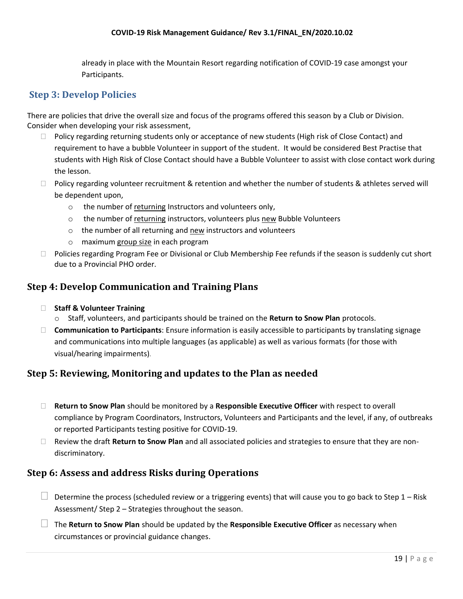already in place with the Mountain Resort regarding notification of COVID-19 case amongst your Participants.

## <span id="page-19-0"></span>**Step 3: Develop Policies**

There are policies that drive the overall size and focus of the programs offered this season by a Club or Division. Consider when developing your risk assessment,

- $\Box$  Policy regarding returning students only or acceptance of new students (High risk of Close Contact) and requirement to have a bubble Volunteer in support of the student. It would be considered Best Practise that students with High Risk of Close Contact should have a Bubble Volunteer to assist with close contact work during the lesson.
- $\Box$  Policy regarding volunteer recruitment & retention and whether the number of students & athletes served will be dependent upon,
	- o the number of returning Instructors and volunteers only,
	- o the number of returning instructors, volunteers plus new Bubble Volunteers
	- o the number of all returning and new instructors and volunteers
	- o maximum group size in each program
- □ Policies regarding Program Fee or Divisional or Club Membership Fee refunds if the season is suddenly cut short due to a Provincial PHO order.

### <span id="page-19-1"></span>**Step 4: Develop Communication and Training Plans**

- **Staff & Volunteer Training**
	- o Staff, volunteers, and participants should be trained on the **Return to Snow Plan** protocols.
- **Communication to Participants**: Ensure information is easily accessible to participants by translating signage and communications into multiple languages (as applicable) as well as various formats (for those with visual/hearing impairments).

## <span id="page-19-2"></span>**Step 5: Reviewing, Monitoring and updates to the Plan as needed**

- **Return to Snow Plan** should be monitored by a **Responsible Executive Officer** with respect to overall compliance by Program Coordinators, Instructors, Volunteers and Participants and the level, if any, of outbreaks or reported Participants testing positive for COVID-19.
- Review the draft **Return to Snow Plan** and all associated policies and strategies to ensure that they are nondiscriminatory.

#### <span id="page-19-3"></span>**Step 6: Assess and address Risks during Operations**

- $\Box$  Determine the process (scheduled review or a triggering events) that will cause you to go back to Step 1 Risk Assessment/ Step 2 – Strategies throughout the season.
- The **Return to Snow Plan** should be updated by the **Responsible Executive Officer** as necessary when circumstances or provincial guidance changes.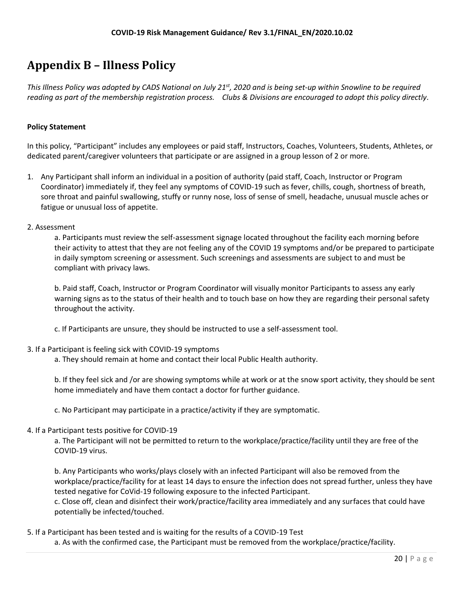# <span id="page-20-0"></span>**Appendix B – Illness Policy**

*This Illness Policy was adopted by CADS National on July 21st, 2020 and is being set-up within Snowline to be required reading as part of the membership registration process. Clubs & Divisions are encouraged to adopt this policy directly.* 

#### **Policy Statement**

In this policy, "Participant" includes any employees or paid staff, Instructors, Coaches, Volunteers, Students, Athletes, or dedicated parent/caregiver volunteers that participate or are assigned in a group lesson of 2 or more.

- 1. Any Participant shall inform an individual in a position of authority (paid staff, Coach, Instructor or Program Coordinator) immediately if, they feel any symptoms of COVID-19 such as fever, chills, cough, shortness of breath, sore throat and painful swallowing, stuffy or runny nose, loss of sense of smell, headache, unusual muscle aches or fatigue or unusual loss of appetite.
- 2. Assessment

a. Participants must review the self-assessment signage located throughout the facility each morning before their activity to attest that they are not feeling any of the COVID 19 symptoms and/or be prepared to participate in daily symptom screening or assessment. Such screenings and assessments are subject to and must be compliant with privacy laws.

b. Paid staff, Coach, Instructor or Program Coordinator will visually monitor Participants to assess any early warning signs as to the status of their health and to touch base on how they are regarding their personal safety throughout the activity.

c. If Participants are unsure, they should be instructed to use a self-assessment tool.

#### 3. If a Participant is feeling sick with COVID-19 symptoms

a. They should remain at home and contact their local Public Health authority.

b. If they feel sick and /or are showing symptoms while at work or at the snow sport activity, they should be sent home immediately and have them contact a doctor for further guidance.

c. No Participant may participate in a practice/activity if they are symptomatic.

#### 4. If a Participant tests positive for COVID-19

a. The Participant will not be permitted to return to the workplace/practice/facility until they are free of the COVID-19 virus.

b. Any Participants who works/plays closely with an infected Participant will also be removed from the workplace/practice/facility for at least 14 days to ensure the infection does not spread further, unless they have tested negative for CoVid-19 following exposure to the infected Participant. c. Close off, clean and disinfect their work/practice/facility area immediately and any surfaces that could have potentially be infected/touched.

5. If a Participant has been tested and is waiting for the results of a COVID-19 Test a. As with the confirmed case, the Participant must be removed from the workplace/practice/facility.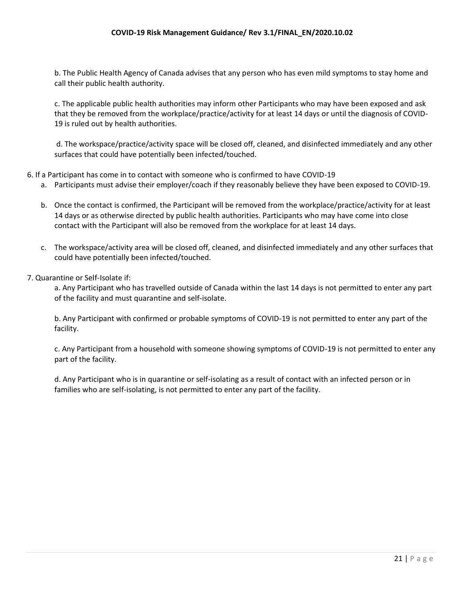b. The Public Health Agency of Canada advises that any person who has even mild symptoms to stay home and call their public health authority.

c. The applicable public health authorities may inform other Participants who may have been exposed and ask that they be removed from the workplace/practice/activity for at least 14 days or until the diagnosis of COVID-19 is ruled out by health authorities.

d. The workspace/practice/activity space will be closed off, cleaned, and disinfected immediately and any other surfaces that could have potentially been infected/touched.

- 6. If a Participant has come in to contact with someone who is confirmed to have COVID-19
	- a. Participants must advise their employer/coach if they reasonably believe they have been exposed to COVID-19.
	- b. Once the contact is confirmed, the Participant will be removed from the workplace/practice/activity for at least 14 days or as otherwise directed by public health authorities. Participants who may have come into close contact with the Participant will also be removed from the workplace for at least 14 days.
	- c. The workspace/activity area will be closed off, cleaned, and disinfected immediately and any other surfaces that could have potentially been infected/touched.
- 7. Quarantine or Self-Isolate if:

a. Any Participant who has travelled outside of Canada within the last 14 days is not permitted to enter any part of the facility and must quarantine and self-isolate.

b. Any Participant with confirmed or probable symptoms of COVID-19 is not permitted to enter any part of the facility.

c. Any Participant from a household with someone showing symptoms of COVID-19 is not permitted to enter any part of the facility.

d. Any Participant who is in quarantine or self-isolating as a result of contact with an infected person or in families who are self-isolating, is not permitted to enter any part of the facility.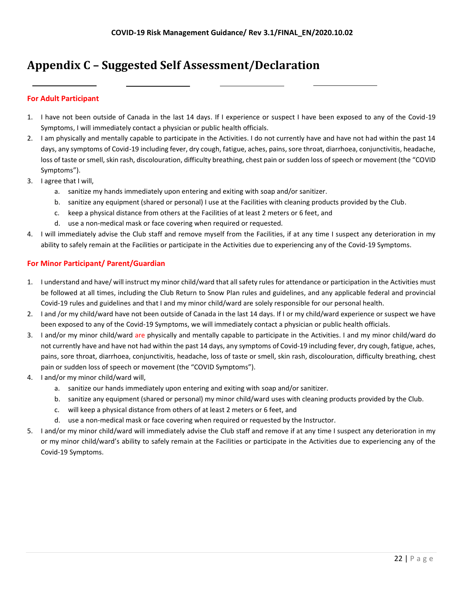# <span id="page-22-0"></span>**Appendix C – Suggested Self Assessment/Declaration**

#### **For Adult Participant**

- 1. I have not been outside of Canada in the last 14 days. If I experience or suspect I have been exposed to any of the Covid-19 Symptoms, I will immediately contact a physician or public health officials.
- 2. I am physically and mentally capable to participate in the Activities. I do not currently have and have not had within the past 14 days, any symptoms of Covid-19 including fever, dry cough, fatigue, aches, pains, sore throat, diarrhoea, conjunctivitis, headache, loss of taste or smell, skin rash, discolouration, difficulty breathing, chest pain or sudden loss of speech or movement (the "COVID Symptoms").
- 3. I agree that I will,
	- a. sanitize my hands immediately upon entering and exiting with soap and/or sanitizer.
	- b. sanitize any equipment (shared or personal) I use at the Facilities with cleaning products provided by the Club.
	- c. keep a physical distance from others at the Facilities of at least 2 meters or 6 feet, and
	- d. use a non-medical mask or face covering when required or requested.
- 4. I will immediately advise the Club staff and remove myself from the Facilities, if at any time I suspect any deterioration in my ability to safely remain at the Facilities or participate in the Activities due to experiencing any of the Covid-19 Symptoms.

#### **For Minor Participant/ Parent/Guardian**

- 1. I understand and have/ will instruct my minor child/ward that all safety rules for attendance or participation in the Activities must be followed at all times, including the Club Return to Snow Plan rules and guidelines, and any applicable federal and provincial Covid-19 rules and guidelines and that I and my minor child/ward are solely responsible for our personal health.
- 2. I and /or my child/ward have not been outside of Canada in the last 14 days. If I or my child/ward experience or suspect we have been exposed to any of the Covid-19 Symptoms, we will immediately contact a physician or public health officials.
- 3. I and/or my minor child/ward are physically and mentally capable to participate in the Activities. I and my minor child/ward do not currently have and have not had within the past 14 days, any symptoms of Covid-19 including fever, dry cough, fatigue, aches, pains, sore throat, diarrhoea, conjunctivitis, headache, loss of taste or smell, skin rash, discolouration, difficulty breathing, chest pain or sudden loss of speech or movement (the "COVID Symptoms").
- 4. I and/or my minor child/ward will,
	- a. sanitize our hands immediately upon entering and exiting with soap and/or sanitizer.
	- b. sanitize any equipment (shared or personal) my minor child/ward uses with cleaning products provided by the Club.
	- c. will keep a physical distance from others of at least 2 meters or 6 feet, and
	- d. use a non-medical mask or face covering when required or requested by the Instructor.
- 5. I and/or my minor child/ward will immediately advise the Club staff and remove if at any time I suspect any deterioration in my or my minor child/ward's ability to safely remain at the Facilities or participate in the Activities due to experiencing any of the Covid-19 Symptoms.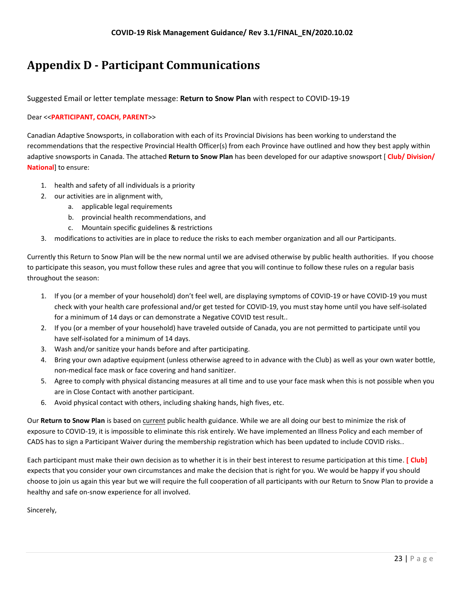# <span id="page-23-0"></span>**Appendix D - Participant Communications**

Suggested Email or letter template message: **Return to Snow Plan** with respect to COVID-19-19

#### Dear <<**PARTICIPANT, COACH, PARENT**>>

Canadian Adaptive Snowsports, in collaboration with each of its Provincial Divisions has been working to understand the recommendations that the respective Provincial Health Officer(s) from each Province have outlined and how they best apply within adaptive snowsports in Canada. The attached **Return to Snow Plan** has been developed for our adaptive snowsport [ **Club/ Division/ National**] to ensure:

- 1. health and safety of all individuals is a priority
- 2. our activities are in alignment with,
	- a. applicable legal requirements
		- b. provincial health recommendations, and
		- c. Mountain specific guidelines & restrictions
- 3. modifications to activities are in place to reduce the risks to each member organization and all our Participants.

Currently this Return to Snow Plan will be the new normal until we are advised otherwise by public health authorities. If you choose to participate this season, you must follow these rules and agree that you will continue to follow these rules on a regular basis throughout the season:

- 1. If you (or a member of your household) don't feel well, are displaying symptoms of COVID-19 or have COVID-19 you must check with your health care professional and/or get tested for COVID-19, you must stay home until you have self-isolated for a minimum of 14 days or can demonstrate a Negative COVID test result..
- 2. If you (or a member of your household) have traveled outside of Canada, you are not permitted to participate until you have self-isolated for a minimum of 14 days.
- 3. Wash and/or sanitize your hands before and after participating.
- 4. Bring your own adaptive equipment (unless otherwise agreed to in advance with the Club) as well as your own water bottle, non-medical face mask or face covering and hand sanitizer.
- 5. Agree to comply with physical distancing measures at all time and to use your face mask when this is not possible when you are in Close Contact with another participant.
- 6. Avoid physical contact with others, including shaking hands, high fives, etc.

Our **Return to Snow Plan** is based on current public health guidance. While we are all doing our best to minimize the risk of exposure to COVID-19, it is impossible to eliminate this risk entirely. We have implemented an Illness Policy and each member of CADS has to sign a Participant Waiver during the membership registration which has been updated to include COVID risks..

Each participant must make their own decision as to whether it is in their best interest to resume participation at this time. **[ Club]** expects that you consider your own circumstances and make the decision that is right for you. We would be happy if you should choose to join us again this year but we will require the full cooperation of all participants with our Return to Snow Plan to provide a healthy and safe on-snow experience for all involved.

Sincerely,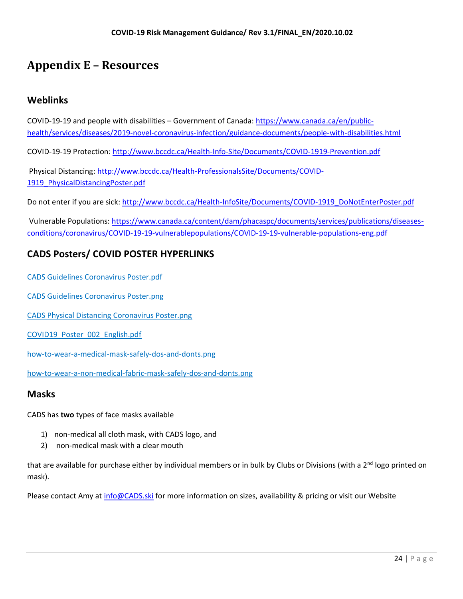# <span id="page-24-0"></span>**Appendix E – Resources**

## **Weblinks**

COVID-19-19 and people with disabilities – Government of Canada: [https://www.canada.ca/en/public](hcoittps://www.canada.ca/en/public-health/services/diseases/2019-novel-coronavirus-infection/guidance-documents/people-with-disabilities.html)[health/services/diseases/2019-novel-coronavirus-infection/guidance-documents/people-with-disabilities.html](hcoittps://www.canada.ca/en/public-health/services/diseases/2019-novel-coronavirus-infection/guidance-documents/people-with-disabilities.html)

COVID-19-19 Protection: [http://www.bccdc.ca/Health-Info-Site/Documents/COVID-1919-Prevention.pdf](http://www.bccdc.ca/Health-Info-Site/Documents/COVID19-Prevention.pdf)

Physical Distancing[: http://www.bccdc.ca/Health-ProfessionalsSite/Documents/COVID-](http://www.bccdc.ca/Health-ProfessionalsSite/Documents/COVID19_PhysicalDistancingPoster.pdf)1919 PhysicalDistancingPoster.pdf

Do not enter if you are sick: [http://www.bccdc.ca/Health-InfoSite/Documents/COVID-1919\\_DoNotEnterPoster.pdf](http://www.bccdc.ca/Health-InfoSite/Documents/COVID19_DoNotEnterPoster.pdf)

Vulnerable Populations: [https://www.canada.ca/content/dam/phacaspc/documents/services/publications/diseases](https://www.canada.ca/content/dam/phacaspc/documents/services/publications/diseases-conditions/coronavirus/covid-19-vulnerablepopulations/covid-19-vulnerable-populations-eng.pdf)[conditions/coronavirus/COVID-19-19-vulnerablepopulations/COVID-19-19-vulnerable-populations-eng.pdf](https://www.canada.ca/content/dam/phacaspc/documents/services/publications/diseases-conditions/coronavirus/covid-19-vulnerablepopulations/covid-19-vulnerable-populations-eng.pdf)

## **CADS Posters/ COVID POSTER HYPERLINKS**

[CADS Guidelines Coronavirus Poster.pdf](https://files.constantcontact.com/a7e5279e301/73d8dd3f-35e6-4b3b-ab3a-eb40ccb806ad.pdf)

[CADS Guidelines Coronavirus Poster.png](https://files.constantcontact.com/a7e5279e301/8af60730-ff70-4763-843f-61f92319ccb1.png)

[CADS Physical Distancing Coronavirus Poster.png](https://files.constantcontact.com/a7e5279e301/c1d1bec1-afc2-42bf-add9-e34838efaf1c.png)

[COVID19\\_Poster\\_002\\_English.pdf](https://files.constantcontact.com/a7e5279e301/4cbdc4a3-b4f5-47da-939d-f3dad9aead25.pdf)

[how-to-wear-a-medical-mask-safely-dos-and-donts.png](https://files.constantcontact.com/a7e5279e301/cd4c41de-0775-452d-9e43-d11a706d666f.png)

[how-to-wear-a-non-medical-fabric-mask-safely-dos-and-donts.png](https://files.constantcontact.com/a7e5279e301/823e1483-f3fa-45d2-9011-c1e0e99006d4.png)

#### **Masks**

CADS has **two** types of face masks available

- 1) non-medical all cloth mask, with CADS logo, and
- 2) non-medical mask with a clear mouth

that are available for purchase either by individual members or in bulk by Clubs or Divisions (with a 2<sup>nd</sup> logo printed on mask).

Please contact Amy at [info@CADS.ski](mailto:info@CADS.ski) for more information on sizes, availability & pricing or visit our Website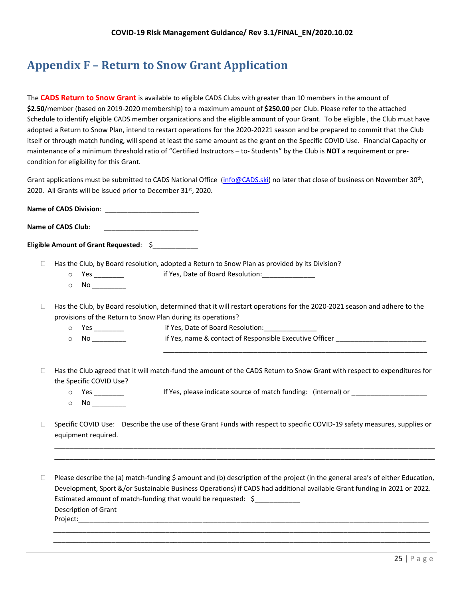# <span id="page-25-0"></span>**Appendix F – Return to Snow Grant Application**

The **CADS Return to Snow Grant** is available to eligible CADS Clubs with greater than 10 members in the amount of **\$2.50**/member (based on 2019-2020 membership) to a maximum amount of **\$250.00** per Club. Please refer to the attached Schedule to identify eligible CADS member organizations and the eligible amount of your Grant. To be eligible , the Club must have adopted a Return to Snow Plan, intend to restart operations for the 2020-20221 season and be prepared to commit that the Club itself or through match funding, will spend at least the same amount as the grant on the Specific COVID Use. Financial Capacity or maintenance of a minimum threshold ratio of "Certified Instructors – to- Students" by the Club is **NOT** a requirement or precondition for eligibility for this Grant.

Grant applications must be submitted to CADS National Office [\(info@CADS.ski\)](mailto:info@CADS.ski) no later that close of business on November 30<sup>th</sup>, 2020. All Grants will be issued prior to December 31<sup>st</sup>, 2020.

**Name of CADS Division**: \_\_\_\_\_\_\_\_\_\_\_\_\_\_\_\_\_\_\_\_\_\_\_\_\_

Name of CADS Club:

**Eligible Amount of Grant Requested: \$** 

 $\Box$  Has the Club, by Board resolution, adopted a Return to Snow Plan as provided by its Division?

- o Yes \_\_\_\_\_\_\_\_\_ if Yes, Date of Board Resolution: \_\_\_\_\_\_\_\_\_\_\_\_\_\_\_\_\_\_\_\_\_\_\_\_\_\_\_\_\_\_
- $\circ$  No \_\_\_\_\_\_\_\_\_

 $\Box$  Has the Club, by Board resolution, determined that it will restart operations for the 2020-2021 season and adhere to the provisions of the Return to Snow Plan during its operations?

- o Yes \_\_\_\_\_\_\_\_ if Yes, Date of Board Resolution:\_\_\_\_\_\_\_\_\_\_\_\_\_\_
- o No \_\_\_\_\_\_\_\_\_\_\_\_\_\_\_ if Yes, name & contact of Responsible Executive Officer \_\_\_\_\_\_\_\_\_\_\_\_\_\_\_\_\_\_\_\_\_\_\_\_\_\_\_\_\_\_\_\_\_
- $\Box$  Has the Club agreed that it will match-fund the amount of the CADS Return to Snow Grant with respect to expenditures for the Specific COVID Use?
	-

o Yes \_\_\_\_\_\_\_\_ If Yes, please indicate source of match funding: (internal) or \_\_\_\_\_\_\_\_\_\_\_\_\_\_\_\_\_\_\_\_

\_\_\_\_\_\_\_\_\_\_\_\_\_\_\_\_\_\_\_\_\_\_\_\_\_\_\_\_\_\_\_\_\_\_\_\_\_\_\_\_\_\_\_\_\_\_\_\_\_\_\_\_\_\_\_\_\_\_\_\_\_\_\_\_\_\_\_\_\_\_

 $\circ$  No  $\_\_\_\_\_\_\_\_\_\_$ 

□ Specific COVID Use: Describe the use of these Grant Funds with respect to specific COVID-19 safety measures, supplies or equipment required.

\_\_\_\_\_\_\_\_\_\_\_\_\_\_\_\_\_\_\_\_\_\_\_\_\_\_\_\_\_\_\_\_\_\_\_\_\_\_\_\_\_\_\_\_\_\_\_\_\_\_\_\_\_\_\_\_\_\_\_\_\_\_\_\_\_\_\_\_\_\_\_\_\_\_\_\_\_\_\_\_\_\_\_\_\_\_\_\_\_\_\_\_\_\_\_\_\_\_\_\_\_ \_\_\_\_\_\_\_\_\_\_\_\_\_\_\_\_\_\_\_\_\_\_\_\_\_\_\_\_\_\_\_\_\_\_\_\_\_\_\_\_\_\_\_\_\_\_\_\_\_\_\_\_\_\_\_\_\_\_\_\_\_\_\_\_\_\_\_\_\_\_\_\_\_\_\_\_\_\_\_\_\_\_\_\_\_\_\_\_\_\_\_\_\_\_\_\_\_\_\_\_\_

 $\Box$  Please describe the (a) match-funding \$ amount and (b) description of the project (in the general area's of either Education, Development, Sport &/or Sustainable Business Operations) if CADS had additional available Grant funding in 2021 or 2022. Estimated amount of match-funding that would be requested: \$ Description of Grant Project:\_\_\_\_\_\_\_\_\_\_\_\_\_\_\_\_\_\_\_\_\_\_\_\_\_\_\_\_\_\_\_\_\_\_\_\_\_\_\_\_\_\_\_\_\_\_\_\_\_\_\_\_\_\_\_\_\_\_\_\_\_\_\_\_\_\_\_\_\_\_\_\_\_\_\_\_\_\_\_\_\_\_\_\_\_\_\_\_\_\_\_\_\_

\_\_\_\_\_\_\_\_\_\_\_\_\_\_\_\_\_\_\_\_\_\_\_\_\_\_\_\_\_\_\_\_\_\_\_\_\_\_\_\_\_\_\_\_\_\_\_\_\_\_\_\_\_\_\_\_\_\_\_\_\_\_\_\_\_\_\_\_\_\_\_\_\_\_\_\_\_\_\_\_\_\_\_\_\_\_\_\_\_\_\_ \_\_\_\_\_\_\_\_\_\_\_\_\_\_\_\_\_\_\_\_\_\_\_\_\_\_\_\_\_\_\_\_\_\_\_\_\_\_\_\_\_\_\_\_\_\_\_\_\_\_\_\_\_\_\_\_\_\_\_\_\_\_\_\_\_\_\_\_\_\_\_\_\_\_\_\_\_\_\_\_\_\_\_\_\_\_\_\_\_\_\_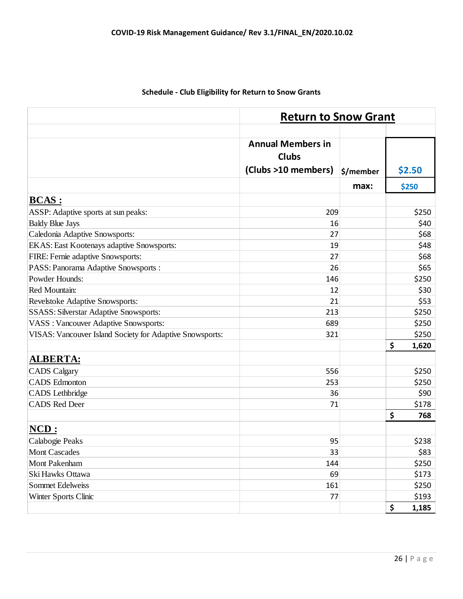|                                                          | <b>Return to Snow Grant</b>              |           |             |  |
|----------------------------------------------------------|------------------------------------------|-----------|-------------|--|
|                                                          |                                          |           |             |  |
|                                                          | <b>Annual Members in</b><br><b>Clubs</b> |           |             |  |
|                                                          | (Clubs >10 members)                      | \$/member | \$2.50      |  |
|                                                          |                                          | max:      | \$250       |  |
| <b>BCAS:</b>                                             |                                          |           |             |  |
| ASSP: Adaptive sports at sun peaks:                      | 209                                      |           | \$250       |  |
| <b>Baldy Blue Jays</b>                                   | 16                                       |           | \$40        |  |
| Caledonia Adaptive Snowsports:                           | 27                                       |           | \$68        |  |
| EKAS: East Kootenays adaptive Snowsports:                | 19                                       |           | \$48        |  |
| FIRE: Fernie adaptive Snowsports:                        | 27                                       |           | \$68        |  |
| PASS: Panorama Adaptive Snowsports:                      | 26                                       |           | \$65        |  |
| Powder Hounds:                                           | 146                                      |           | \$250       |  |
| Red Mountain:                                            | 12                                       |           | \$30        |  |
| Revelstoke Adaptive Snowsports:                          | 21                                       |           | \$53        |  |
| <b>SSASS: Silverstar Adaptive Snowsports:</b>            | 213                                      |           | \$250       |  |
| <b>VASS</b> : Vancouver Adaptive Snowsports:             | 689                                      |           | \$250       |  |
| VISAS: Vancouver Island Society for Adaptive Snowsports: | 321                                      |           | \$250       |  |
|                                                          |                                          |           | \$<br>1,620 |  |
| <b>ALBERTA:</b>                                          |                                          |           |             |  |
| <b>CADS</b> Calgary                                      | 556                                      |           | \$250       |  |
| <b>CADS</b> Edmonton                                     | 253                                      |           | \$250       |  |
| CADS Lethbridge                                          | 36                                       |           | \$90        |  |
| <b>CADS Red Deer</b>                                     | 71                                       |           | \$178       |  |
|                                                          |                                          |           | \$<br>768   |  |
| NCD:                                                     |                                          |           |             |  |
| Calabogie Peaks                                          | 95                                       |           | \$238       |  |
| <b>Mont Cascades</b>                                     | 33                                       |           | \$83        |  |
| Mont Pakenham                                            | 144                                      |           | \$250       |  |
| Ski Hawks Ottawa                                         | 69                                       |           | \$173       |  |
| <b>Sommet Edelweiss</b>                                  | 161                                      |           | \$250       |  |
| Winter Sports Clinic                                     | 77                                       |           | \$193       |  |
|                                                          |                                          |           | \$<br>1,185 |  |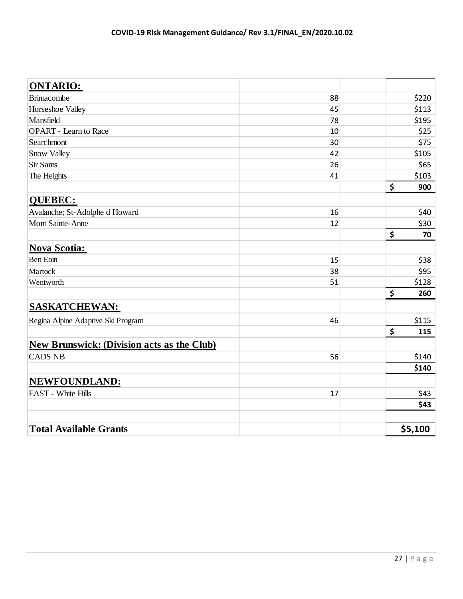| <b>ONTARIO:</b>                                   |    |           |
|---------------------------------------------------|----|-----------|
| <b>Brimacombe</b>                                 | 88 | \$220     |
| Horseshoe Valley                                  | 45 | \$113     |
| Mansfield                                         | 78 | \$195     |
| <b>OPART</b> - Learn to Race                      | 10 | \$25      |
| Searchmont                                        | 30 | \$75      |
| Snow Valley                                       | 42 | \$105     |
| Sir Sams                                          | 26 | \$65      |
| The Heights                                       | 41 | \$103     |
|                                                   |    | \$<br>900 |
| <b>QUEBEC:</b>                                    |    |           |
| Avalanche; St-Adolphe d Howard                    | 16 | \$40      |
| Mont Sainte-Anne                                  | 12 | \$30      |
|                                                   |    | \$<br>70  |
| <b>Nova Scotia:</b>                               |    |           |
| Ben Eoin                                          | 15 | \$38      |
| Martock                                           | 38 | \$95      |
| Wentworth                                         | 51 | \$128     |
|                                                   |    | \$<br>260 |
| <b>SASKATCHEWAN:</b>                              |    |           |
| Regina Alpine Adaptive Ski Program                | 46 | \$115     |
|                                                   |    | \$<br>115 |
| <b>New Brunswick: (Division acts as the Club)</b> |    |           |
| <b>CADS NB</b>                                    | 56 | \$140     |
|                                                   |    | \$140     |
| NEWFOUNDLAND:                                     |    |           |
| <b>EAST</b> - White Hills                         | 17 | \$43      |
|                                                   |    | \$43      |
|                                                   |    |           |
| <b>Total Available Grants</b>                     |    | \$5,100   |